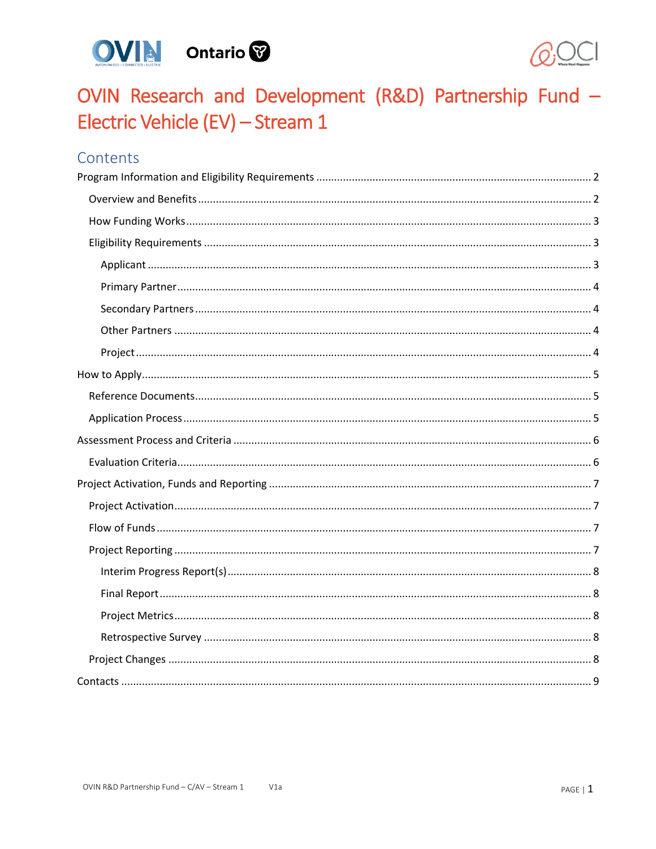



# OVIN Research and Development (R&D) Partnership Fund -Electric Vehicle (EV) - Stream 1

# Contents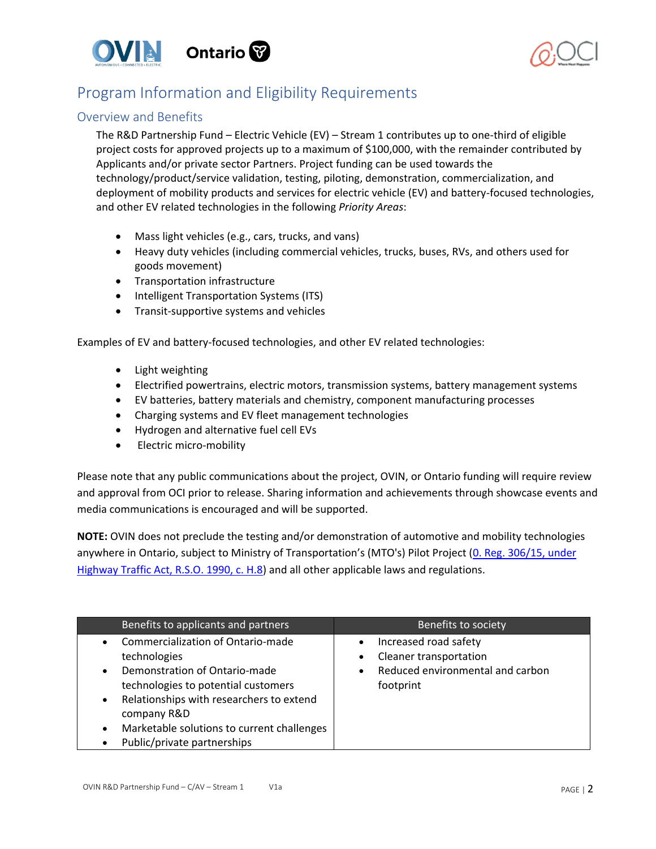



# <span id="page-1-0"></span>Program Information and Eligibility Requirements

### <span id="page-1-1"></span>Overview and Benefits

The R&D Partnership Fund – Electric Vehicle (EV) – Stream 1 contributes up to one-third of eligible project costs for approved projects up to a maximum of \$100,000, with the remainder contributed by Applicants and/or private sector Partners. Project funding can be used towards the technology/product/service validation, testing, piloting, demonstration, commercialization, and deployment of mobility products and services for electric vehicle (EV) and battery-focused technologies, and other EV related technologies in the following *Priority Areas*:

- Mass light vehicles (e.g., cars, trucks, and vans)
- Heavy duty vehicles (including commercial vehicles, trucks, buses, RVs, and others used for goods movement)
- Transportation infrastructure
- Intelligent Transportation Systems (ITS)
- Transit-supportive systems and vehicles

Examples of EV and battery-focused technologies, and other EV related technologies:

- Light weighting
- Electrified powertrains, electric motors, transmission systems, battery management systems
- EV batteries, battery materials and chemistry, component manufacturing processes
- Charging systems and EV fleet management technologies
- Hydrogen and alternative fuel cell EVs
- Electric micro-mobility

Please note that any public communications about the project, OVIN, or Ontario funding will require review and approval from OCI prior to release. Sharing information and achievements through showcase events and media communications is encouraged and will be supported.

**NOTE:** OVIN does not preclude the testing and/or demonstration of automotive and mobility technologies anywhere in Ontario, subject to Ministry of Transportation's (MTO's) Pilot Project (0. Reg. 306/15, under [Highway Traffic Act, R.S.O. 1990, c. H.8\)](http://www.ontariocanada.com/registry/view.do?postingId=26147&language=en) and all other applicable laws and regulations.

| Benefits to applicants and partners                                                                                                                                                                                                                                                                      | Benefits to society                                                                                                        |
|----------------------------------------------------------------------------------------------------------------------------------------------------------------------------------------------------------------------------------------------------------------------------------------------------------|----------------------------------------------------------------------------------------------------------------------------|
| Commercialization of Ontario-made<br>technologies<br>Demonstration of Ontario-made<br>$\bullet$<br>technologies to potential customers<br>Relationships with researchers to extend<br>$\bullet$<br>company R&D<br>Marketable solutions to current challenges<br>$\bullet$<br>Public/private partnerships | Increased road safety<br>$\bullet$<br>Cleaner transportation<br>Reduced environmental and carbon<br>$\bullet$<br>footprint |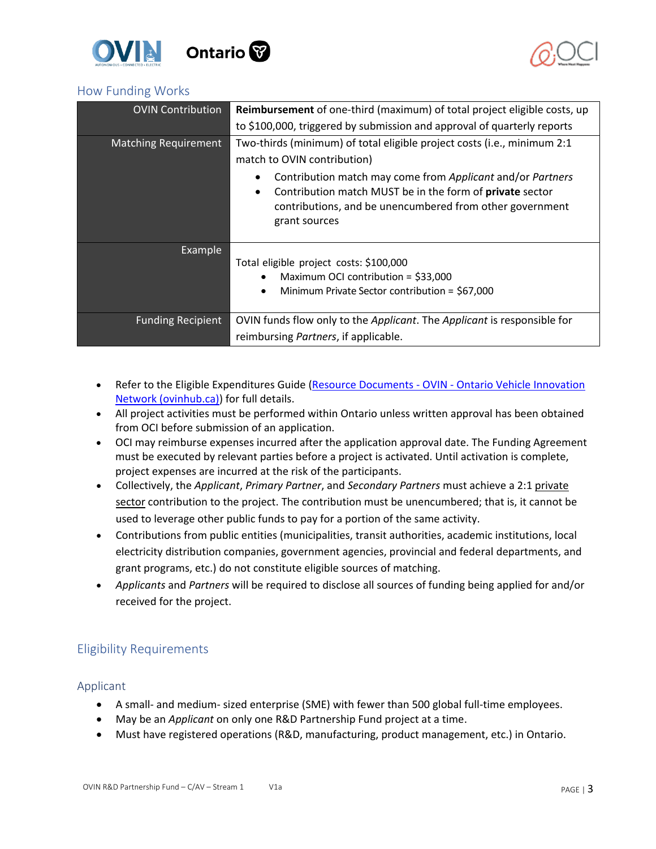



# <span id="page-2-0"></span>How Funding Works

| <b>OVIN Contribution</b>    | <b>Reimbursement</b> of one-third (maximum) of total project eligible costs, up |  |
|-----------------------------|---------------------------------------------------------------------------------|--|
|                             | to \$100,000, triggered by submission and approval of quarterly reports         |  |
| <b>Matching Requirement</b> | Two-thirds (minimum) of total eligible project costs (i.e., minimum 2:1         |  |
|                             | match to OVIN contribution)                                                     |  |
|                             | Contribution match may come from Applicant and/or Partners                      |  |
|                             | Contribution match MUST be in the form of <b>private</b> sector<br>$\bullet$    |  |
|                             | contributions, and be unencumbered from other government                        |  |
|                             | grant sources                                                                   |  |
| Example                     |                                                                                 |  |
|                             | Total eligible project costs: \$100,000                                         |  |
|                             | Maximum OCI contribution = $$33,000$<br>٠                                       |  |
|                             | Minimum Private Sector contribution = \$67,000<br>$\bullet$                     |  |
|                             |                                                                                 |  |
| <b>Funding Recipient</b>    | OVIN funds flow only to the Applicant. The Applicant is responsible for         |  |
|                             | reimbursing Partners, if applicable.                                            |  |

- Refer to the Eligible Expenditures Guide (Resource Documents OVIN Ontario Vehicle Innovation [Network \(ovinhub.ca\)\)](https://www.ovinhub.ca/resource-documents/) for full details.
- All project activities must be performed within Ontario unless written approval has been obtained from OCI before submission of an application.
- OCI may reimburse expenses incurred after the application approval date. The Funding Agreement must be executed by relevant parties before a project is activated. Until activation is complete, project expenses are incurred at the risk of the participants.
- Collectively, the *Applicant*, *Primary Partner*, and *Secondary Partners* must achieve a 2:1 private sector contribution to the project. The contribution must be unencumbered; that is, it cannot be used to leverage other public funds to pay for a portion of the same activity.
- Contributions from public entities (municipalities, transit authorities, academic institutions, local electricity distribution companies, government agencies, provincial and federal departments, and grant programs, etc.) do not constitute eligible sources of matching.
- *Applicants* and *Partners* will be required to disclose all sources of funding being applied for and/or received for the project.

# <span id="page-2-1"></span>Eligibility Requirements

### <span id="page-2-2"></span>Applicant

- A small- and medium- sized enterprise (SME) with fewer than 500 global full-time employees.
- May be an *Applicant* on only one R&D Partnership Fund project at a time.
- Must have registered operations (R&D, manufacturing, product management, etc.) in Ontario.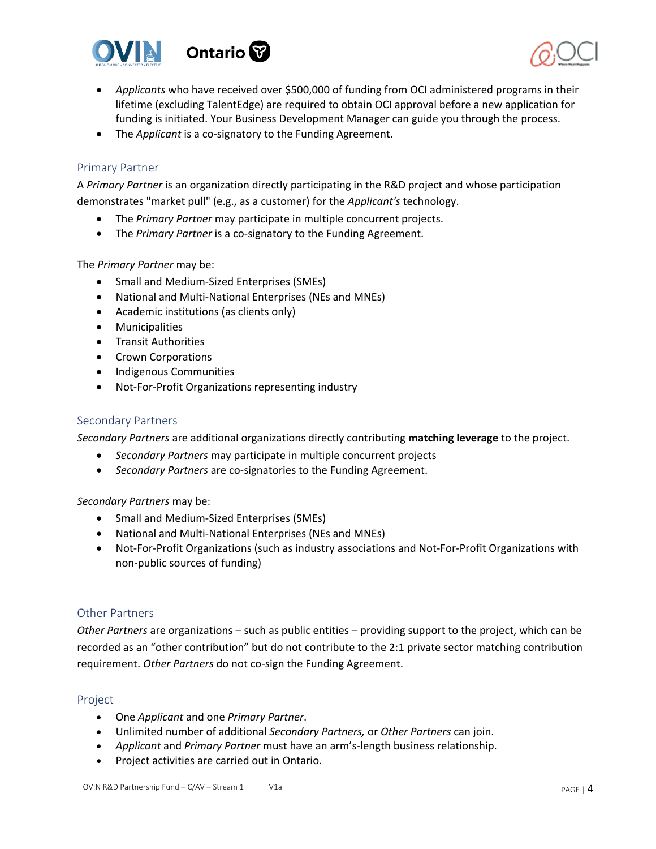



- *Applicants* who have received over \$500,000 of funding from OCI administered programs in their lifetime (excluding TalentEdge) are required to obtain OCI approval before a new application for funding is initiated. Your Business Development Manager can guide you through the process.
- The *Applicant* is a co-signatory to the Funding Agreement.

#### <span id="page-3-0"></span>Primary Partner

A *Primary Partner* is an organization directly participating in the R&D project and whose participation demonstrates "market pull" (e.g., as a customer) for the *Applicant's* technology.

- The *Primary Partner* may participate in multiple concurrent projects.
- The *Primary Partner* is a co-signatory to the Funding Agreement.

The *Primary Partner* may be:

- Small and Medium-Sized Enterprises (SMEs)
- National and Multi-National Enterprises (NEs and MNEs)
- Academic institutions (as clients only)
- Municipalities
- Transit Authorities
- Crown Corporations
- Indigenous Communities
- Not-For-Profit Organizations representing industry

#### <span id="page-3-1"></span>Secondary Partners

*Secondary Partners* are additional organizations directly contributing **matching leverage** to the project.

- *Secondary Partners* may participate in multiple concurrent projects
- *Secondary Partners* are co-signatories to the Funding Agreement.

#### *Secondary Partners* may be:

- Small and Medium-Sized Enterprises (SMEs)
- National and Multi-National Enterprises (NEs and MNEs)
- Not-For-Profit Organizations (such as industry associations and Not-For-Profit Organizations with non-public sources of funding)

#### <span id="page-3-2"></span>Other Partners

*Other Partners* are organizations – such as public entities – providing support to the project, which can be recorded as an "other contribution" but do not contribute to the 2:1 private sector matching contribution requirement. *Other Partners* do not co-sign the Funding Agreement.

#### <span id="page-3-3"></span>Project

- One *Applicant* and one *Primary Partner*.
- Unlimited number of additional *Secondary Partners,* or *Other Partners* can join.
- *Applicant* and *Primary Partner* must have an arm's-length business relationship.
- Project activities are carried out in Ontario.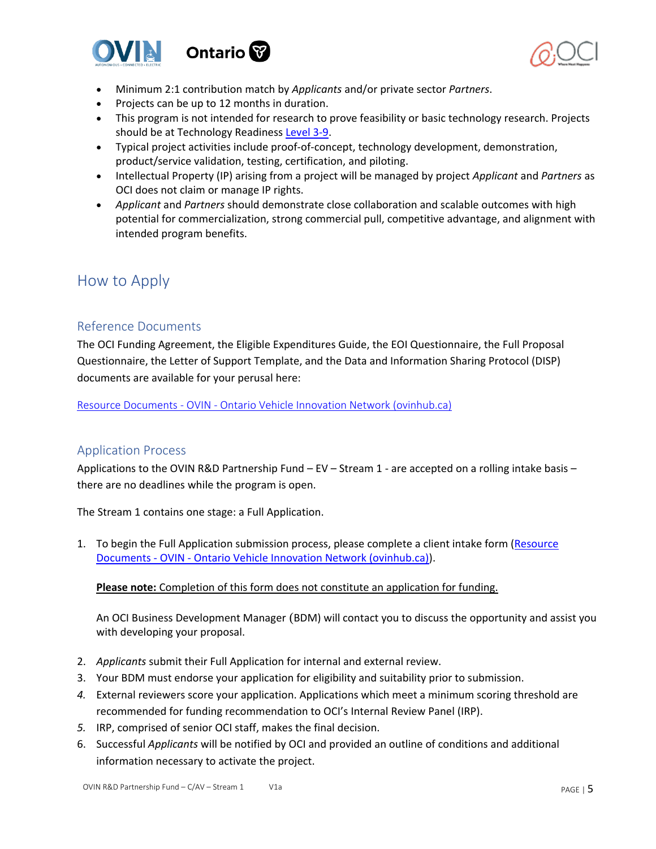



- Minimum 2:1 contribution match by *Applicants* and/or private sector *Partners*.
- Projects can be up to 12 months in duration.
- This program is not intended for research to prove feasibility or basic technology research. Projects should be at Technology Readiness [Level 3-9.](https://www.ic.gc.ca/eic/site/ito-oti.nsf/eng/00849.html)
- Typical project activities include proof-of-concept, technology development, demonstration, product/service validation, testing, certification, and piloting.
- Intellectual Property (IP) arising from a project will be managed by project *Applicant* and *Partners* as OCI does not claim or manage IP rights.
- *Applicant* and *Partners* should demonstrate close collaboration and scalable outcomes with high potential for commercialization, strong commercial pull, competitive advantage, and alignment with intended program benefits.

# <span id="page-4-0"></span>How to Apply

# <span id="page-4-1"></span>Reference Documents

The OCI Funding Agreement, the Eligible Expenditures Guide, the EOI Questionnaire, the Full Proposal Questionnaire, the Letter of Support Template, and the Data and Information Sharing Protocol (DISP) documents are available for your perusal here:

Resource Documents - OVIN - [Ontario Vehicle Innovation Network \(ovinhub.ca\)](https://www.ovinhub.ca/resource-documents/)

### <span id="page-4-2"></span>Application Process

Applications to the OVIN R&D Partnership Fund – EV – Stream 1 - are accepted on a rolling intake basis – there are no deadlines while the program is open.

The Stream 1 contains one stage: a Full Application.

1. To begin the Full Application submission process, please complete a client intake form [\(Resource](https://www.ovinhub.ca/resource-documents/)  Documents - OVIN - [Ontario Vehicle Innovation Network \(ovinhub.ca\)\)](https://www.ovinhub.ca/resource-documents/).

#### **Please note:** Completion of this form does not constitute an application for funding.

An OCI Business Development Manager (BDM) will contact you to discuss the opportunity and assist you with developing your proposal.

- 2. *Applicants* submit their Full Application for internal and external review.
- 3. Your BDM must endorse your application for eligibility and suitability prior to submission.
- *4.* External reviewers score your application. Applications which meet a minimum scoring threshold are recommended for funding recommendation to OCI's Internal Review Panel (IRP).
- *5.* IRP, comprised of senior OCI staff, makes the final decision.
- 6. Successful *Applicants* will be notified by OCI and provided an outline of conditions and additional information necessary to activate the project.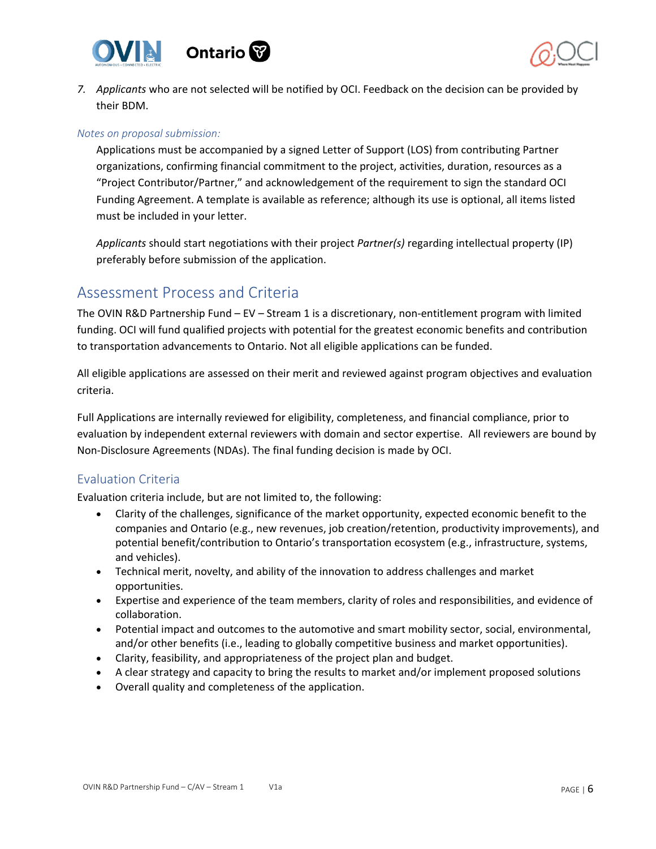



*7. Applicants* who are not selected will be notified by OCI. Feedback on the decision can be provided by their BDM.

#### *Notes on proposal submission:*

Applications must be accompanied by a signed Letter of Support (LOS) from contributing Partner organizations, confirming financial commitment to the project, activities, duration, resources as a "Project Contributor/Partner," and acknowledgement of the requirement to sign the standard OCI Funding Agreement. A template is available as reference; although its use is optional, all items listed must be included in your letter.

*Applicants* should start negotiations with their project *Partner(s)* regarding intellectual property (IP) preferably before submission of the application.

# <span id="page-5-0"></span>Assessment Process and Criteria

The OVIN R&D Partnership Fund – EV – Stream 1 is a discretionary, non-entitlement program with limited funding. OCI will fund qualified projects with potential for the greatest economic benefits and contribution to transportation advancements to Ontario. Not all eligible applications can be funded.

All eligible applications are assessed on their merit and reviewed against program objectives and evaluation criteria.

Full Applications are internally reviewed for eligibility, completeness, and financial compliance, prior to evaluation by independent external reviewers with domain and sector expertise. All reviewers are bound by Non-Disclosure Agreements (NDAs). The final funding decision is made by OCI.

### <span id="page-5-1"></span>Evaluation Criteria

Evaluation criteria include, but are not limited to, the following:

- Clarity of the challenges, significance of the market opportunity, expected economic benefit to the companies and Ontario (e.g., new revenues, job creation/retention, productivity improvements), and potential benefit/contribution to Ontario's transportation ecosystem (e.g., infrastructure, systems, and vehicles).
- Technical merit, novelty, and ability of the innovation to address challenges and market opportunities.
- Expertise and experience of the team members, clarity of roles and responsibilities, and evidence of collaboration.
- Potential impact and outcomes to the automotive and smart mobility sector, social, environmental, and/or other benefits (i.e., leading to globally competitive business and market opportunities).
- Clarity, feasibility, and appropriateness of the project plan and budget.
- A clear strategy and capacity to bring the results to market and/or implement proposed solutions
- Overall quality and completeness of the application.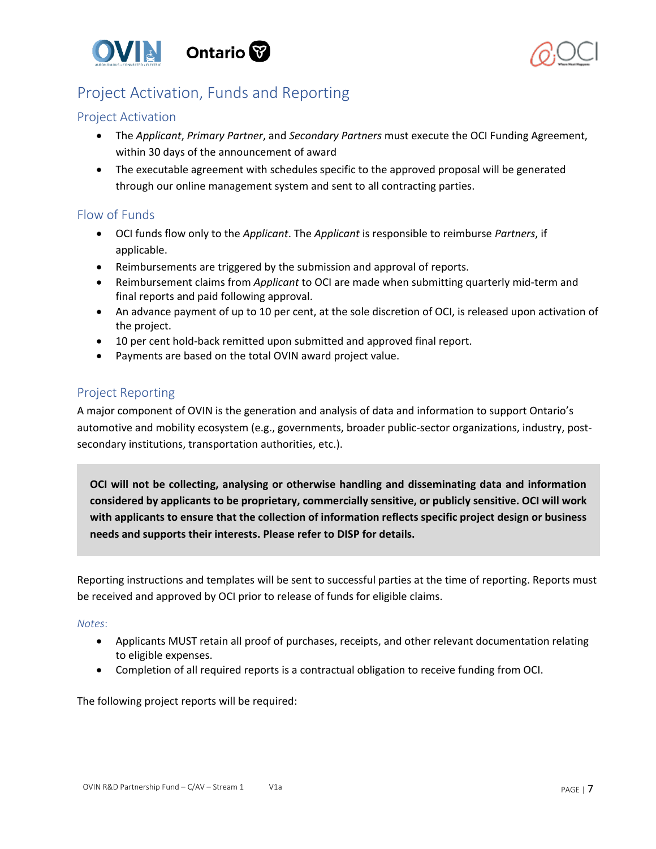



# <span id="page-6-0"></span>Project Activation, Funds and Reporting

## <span id="page-6-1"></span>Project Activation

- The *Applicant*, *Primary Partner*, and *Secondary Partners* must execute the OCI Funding Agreement, within 30 days of the announcement of award
- The executable agreement with schedules specific to the approved proposal will be generated through our online management system and sent to all contracting parties.

### <span id="page-6-2"></span>Flow of Funds

- OCI funds flow only to the *Applicant*. The *Applicant* is responsible to reimburse *Partners*, if applicable.
- Reimbursements are triggered by the submission and approval of reports.
- Reimbursement claims from *Applicant* to OCI are made when submitting quarterly mid-term and final reports and paid following approval.
- An advance payment of up to 10 per cent, at the sole discretion of OCI, is released upon activation of the project.
- 10 per cent hold-back remitted upon submitted and approved final report.
- Payments are based on the total OVIN award project value.

# <span id="page-6-3"></span>Project Reporting

A major component of OVIN is the generation and analysis of data and information to support Ontario's automotive and mobility ecosystem (e.g., governments, broader public-sector organizations, industry, postsecondary institutions, transportation authorities, etc.).

**OCI will not be collecting, analysing or otherwise handling and disseminating data and information considered by applicants to be proprietary, commercially sensitive, or publicly sensitive. OCI will work with applicants to ensure that the collection of information reflects specific project design or business needs and supports their interests. Please refer to DISP for details.**

Reporting instructions and templates will be sent to successful parties at the time of reporting. Reports must be received and approved by OCI prior to release of funds for eligible claims.

#### *Notes*:

- Applicants MUST retain all proof of purchases, receipts, and other relevant documentation relating to eligible expenses.
- Completion of all required reports is a contractual obligation to receive funding from OCI.

The following project reports will be required: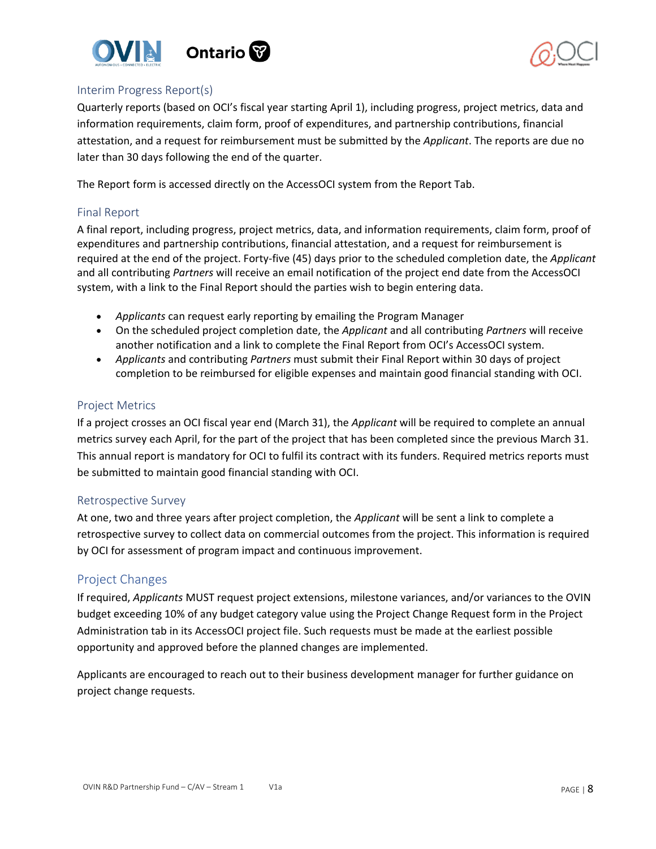



#### <span id="page-7-0"></span>Interim Progress Report(s)

Quarterly reports (based on OCI's fiscal year starting April 1), including progress, project metrics, data and information requirements, claim form, proof of expenditures, and partnership contributions, financial attestation, and a request for reimbursement must be submitted by the *Applicant*. The reports are due no later than 30 days following the end of the quarter.

The Report form is accessed directly on the AccessOCI system from the Report Tab.

#### <span id="page-7-1"></span>Final Report

A final report, including progress, project metrics, data, and information requirements, claim form, proof of expenditures and partnership contributions, financial attestation, and a request for reimbursement is required at the end of the project. Forty-five (45) days prior to the scheduled completion date, the *Applicant* and all contributing *Partners* will receive an email notification of the project end date from the AccessOCI system, with a link to the Final Report should the parties wish to begin entering data.

- *Applicants* can request early reporting by emailing [the](mailto:the) Program Manager
- On the scheduled project completion date, the *Applicant* and all contributing *Partners* will receive another notification and a link to complete the Final Report from OCI's AccessOCI system.
- *Applicants* and contributing *Partners* must submit their Final Report within 30 days of project completion to be reimbursed for eligible expenses and maintain good financial standing with OCI.

#### <span id="page-7-2"></span>Project Metrics

If a project crosses an OCI fiscal year end (March 31), the *Applicant* will be required to complete an annual metrics survey each April, for the part of the project that has been completed since the previous March 31. This annual report is mandatory for OCI to fulfil its contract with its funders. Required metrics reports must be submitted to maintain good financial standing with OCI.

#### <span id="page-7-3"></span>Retrospective Survey

At one, two and three years after project completion, the *Applicant* will be sent a link to complete a retrospective survey to collect data on commercial outcomes from the project. This information is required by OCI for assessment of program impact and continuous improvement.

#### <span id="page-7-4"></span>Project Changes

If required, *Applicants* MUST request project extensions, milestone variances, and/or variances to the OVIN budget exceeding 10% of any budget category value using the Project Change Request form in the Project Administration tab in its AccessOCI project file. Such requests must be made at the earliest possible opportunity and approved before the planned changes are implemented.

Applicants are encouraged to reach out to their business development manager for further guidance on project change requests.